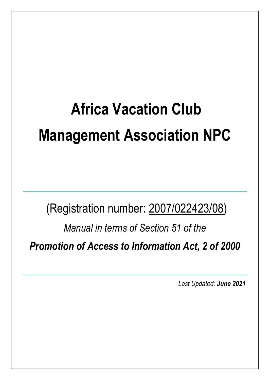# **Africa Vacation Club Management Association NPC**

(Registration number: 2007/022423/08)

*Manual in terms of Section 51 of the* 

*Promotion of Access to Information Act, 2 of 2000*

*Last Updated: June <sup>2021</sup>*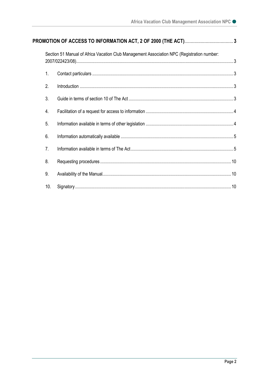|                  | Section 51 Manual of Africa Vacation Club Management Association NPC (Registration number: |  |
|------------------|--------------------------------------------------------------------------------------------|--|
| 1.               |                                                                                            |  |
| 2.               |                                                                                            |  |
| 3.               |                                                                                            |  |
| $\overline{4}$ . |                                                                                            |  |
| 5.               |                                                                                            |  |
| 6.               |                                                                                            |  |
| 7 <sub>1</sub>   |                                                                                            |  |
| 8.               |                                                                                            |  |
| 9.               |                                                                                            |  |
| 10.              |                                                                                            |  |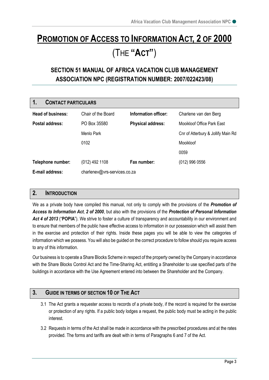## <span id="page-2-0"></span>**PROMOTION OF ACCESS TO INFORMATION ACT, 2 OF 2000** (THE **"ACT"**)

### <span id="page-2-1"></span>**SECTION 51 MANUAL OF AFRICA VACATION CLUB MANAGEMENT ASSOCIATION NPC (REGISTRATION NUMBER: 2007/022423/08)**

<span id="page-2-2"></span>

| 1.                | <b>CONTACT PARTICULARS</b>   |                          |                                    |  |  |  |
|-------------------|------------------------------|--------------------------|------------------------------------|--|--|--|
| Head of business: | Chair of the Board           | Information officer:     | Charlene van den Berg              |  |  |  |
| Postal address:   | PO Box 35580                 | <b>Physical address:</b> | Mooikloof Office Park East         |  |  |  |
|                   | Menlo Park                   |                          | Cnr of Atterbury & Jollify Main Rd |  |  |  |
|                   | 0102                         |                          | Mooikloof                          |  |  |  |
|                   |                              |                          | 0059                               |  |  |  |
| Telephone number: | $(012)$ 492 1108             | Fax number:              | $(012)$ 996 0556                   |  |  |  |
| E-mail address:   | charlenev@vrs-services.co.za |                          |                                    |  |  |  |

#### <span id="page-2-3"></span>**2. INTRODUCTION**

We as a private body have compiled this manual, not only to comply with the provisions of the *Promotion of Access to Information Act*, *2 of 2000*, but also with the provisions of the *Protection of Personal Information Act 4 of 2013* ("**POPIA**"). We strive to foster a culture of transparency and accountability in our environment and to ensure that members of the public have effective access to information in our possession which will assist them in the exercise and protection of their rights. Inside these pages you will be able to view the categories of information which we possess. You will also be guided on the correct procedure to follow should you require access to any of this information.

Our business is to operate a Share Blocks Scheme in respect of the property owned by the Company in accordance with the Share Blocks Control Act and the Time-Sharing Act, entitling a Shareholder to use specified parts of the buildings in accordance with the Use Agreement entered into between the Shareholder and the Company.

#### <span id="page-2-4"></span>**3. GUIDE IN TERMS OF SECTION 10 OF THE ACT**

- 3.1 The Act grants a requester access to records of a private body, if the record is required for the exercise or protection of any rights. If a public body lodges a request, the public body must be acting in the public interest.
- 3.2 Requests in terms of the Act shall be made in accordance with the prescribed procedures and at the rates provided. The forms and tariffs are dealt with in terms of Paragraphs 6 and 7 of the Act.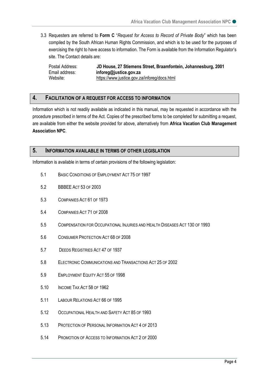3.3 Requesters are referred to **Form C** "*Request for Access to Record of Private Body*" which has been compiled by the South African Human Rights Commission, and which is to be used for the purposes of exercising the right to have access to information. The Form is available from the Information Regulator's site. The Contact details are:

Postal Address: **JD House, 27 Stiemens Street, Braamfontein, Johannesburg, 2001** Email address: **inforeg@justice.gov.za** Website: <https://www.justice.gov.za/inforeg/docs.html>

#### <span id="page-3-0"></span>**4. FACILITATION OF A REQUEST FOR ACCESS TO INFORMATION**

Information which is not readily available as indicated in this manual, may be requested in accordance with the procedure prescribed in terms of the Act. Copies of the prescribed forms to be completed for submitting a request, are available from either the website provided for above, alternatively from **Africa Vacation Club Management Association NPC**.

#### <span id="page-3-1"></span>**5. INFORMATION AVAILABLE IN TERMS OF OTHER LEGISLATION**

Information is available in terms of certain provisions of the following legislation:

- 5.1 BASIC CONDITIONS OF EMPLOYMENT ACT 75 OF 1997
- 5.2 BBBEE ACT 53 OF 2003
- 5.3 COMPANIES ACT 61 OF 1973
- 5.4 COMPANIES ACT 71 OF 2008
- 5.5 COMPENSATION FOR OCCUPATIONAL INJURIES AND HEALTH DISEASES ACT 130 OF 1993
- 5.6 CONSUMER PROTECTION ACT 68 OF 2008
- 5.7 DEEDS REGISTRIES ACT 47 OF 1937
- 5.8 ELECTRONIC COMMUNICATIONS AND TRANSACTIONS ACT 25 OF 2002
- 5.9 EMPLOYMENT EQUITY ACT 55 OF 1998
- 5.10 INCOME TAX ACT 58 OF 1962
- 5.11 LABOUR RELATIONS ACT 66 OF 1995
- 5.12 OCCUPATIONAL HEALTH AND SAFETY ACT 85 OF 1993
- 5.13 PROTECTION OF PERSONAL INFORMATION ACT 4 OF 2013
- 5.14 PROMOTION OF ACCESS TO INFORMATION ACT 2 OF 2000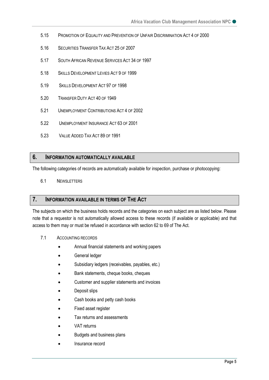- 5.15 PROMOTION OF EQUALITY AND PREVENTION OF UNFAIR DISCRIMINATION ACT 4 OF 2000
- 5.16 SECURITIES TRANSFER TAX ACT 25 OF 2007
- 5.17 SOUTH AFRICAN REVENUE SERVICES ACT 34 OF 1997
- 5.18 SKILLS DEVELOPMENT LEVIES ACT 9 OF 1999
- 5.19 SKILLS DEVELOPMENT ACT 97 OF 1998
- 5.20 TRANSFER DUTY ACT 40 OF 1949
- 5.21 UNEMPLOYMENT CONTRIBUTIONS ACT 4 OF 2002
- 5.22 UNEMPLOYMENT INSURANCE ACT 63 OF 2001
- 5.23 VALUE ADDED TAX ACT 89 OF 1991

#### <span id="page-4-0"></span>**6. INFORMATION AUTOMATICALLY AVAILABLE**

The following categories of records are automatically available for inspection, purchase or photocopying:

6.1 NEWSLETTERS

#### <span id="page-4-1"></span>**7. INFORMATION AVAILABLE IN TERMS OF THE ACT**

The subjects on which the business holds records and the categories on each subject are as listed below. Please note that a requestor is not automatically allowed access to these records (if available or applicable) and that access to them may or must be refused in accordance with section 62 to 69 of The Act.

- 7.1 ACCOUNTING RECORDS
	- Annual financial statements and working papers
	- General ledger
	- Subsidiary ledgers (receivables, payables, etc.)
	- Bank statements, cheque books, cheques
	- Customer and supplier statements and invoices
	- Deposit slips
	- Cash books and petty cash books
	- Fixed asset register
	- Tax returns and assessments
	- VAT returns
	- Budgets and business plans
	- Insurance record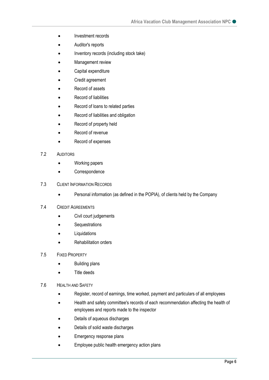- Investment records
- Auditor's reports
- Inventory records (including stock take)
- Management review
- Capital expenditure
- Credit agreement
- Record of assets
- Record of liabilities
- Record of loans to related parties
- Record of liabilities and obligation
- Record of property held
- Record of revenue
- Record of expenses
- 7.2 AUDITORS
	- Working papers
	- Correspondence
- 7.3 CLIENT INFORMATION RECORDS
	- Personal information (as defined in the POPIA), of clients held by the Company

#### 7.4 CREDIT AGREEMENTS

- Civil court judgements
- Sequestrations
- **Liquidations**
- Rehabilitation orders
- 7.5 FIXED PROPERTY
	- Building plans
	- Title deeds
- 7.6 HEALTH AND SAFETY
	- Register, record of earnings, time worked, payment and particulars of all employees
	- Health and safety committee's records of each recommendation affecting the health of employees and reports made to the inspector
	- Details of aqueous discharges
	- Details of solid waste discharges
	- Emergency response plans
	- Employee public health emergency action plans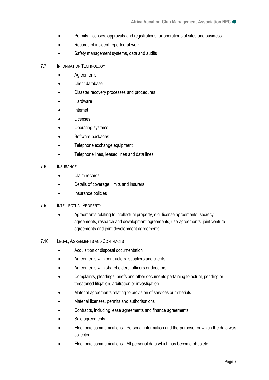- Permits, licenses, approvals and registrations for operations of sites and business
- Records of incident reported at work
- Safety management systems, data and audits
- 7.7 INFORMATION TECHNOLOGY
	- Agreements
	- Client database
	- Disaster recovery processes and procedures
	- Hardware
	- Internet
	- **Licenses**
	- Operating systems
	- Software packages
	- Telephone exchange equipment
	- Telephone lines, leased lines and data lines
- 7.8 INSURANCE
	- Claim records
	- Details of coverage, limits and insurers
	- Insurance policies

#### 7.9 INTELLECTUAL PROPERTY

- Agreements relating to intellectual property, e.g. license agreements, secrecy agreements, research and development agreements, use agreements, joint venture agreements and joint development agreements.
- 7.10 LEGAL, AGREEMENTS AND CONTRACTS
	- Acquisition or disposal documentation
	- Agreements with contractors, suppliers and clients
	- Agreements with shareholders, officers or directors
	- Complaints, pleadings, briefs and other documents pertaining to actual, pending or threatened litigation, arbitration or investigation
	- Material agreements relating to provision of services or materials
	- Material licenses, permits and authorisations
	- Contracts, including lease agreements and finance agreements
	- Sale agreements
	- Electronic communications Personal information and the purpose for which the data was collected
	- Electronic communications All personal data which has become obsolete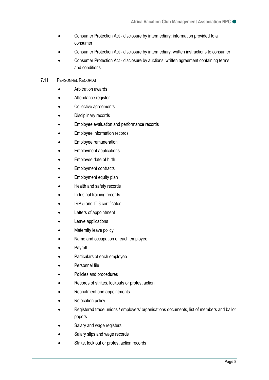- Consumer Protection Act disclosure by intermediary: information provided to a consumer
- Consumer Protection Act disclosure by intermediary: written instructions to consumer
- Consumer Protection Act disclosure by auctions: written agreement containing terms and conditions

#### 7.11 PERSONNEL RECORDS

- Arbitration awards
- Attendance register
- Collective agreements
- Disciplinary records
- Employee evaluation and performance records
- Employee information records
- Employee remuneration
- Employment applications
- Employee date of birth
- Employment contracts
- Employment equity plan
- Health and safety records
- Industrial training records
- IRP 5 and IT 3 certificates
- Letters of appointment
- Leave applications
- Maternity leave policy
- Name and occupation of each employee
- **Payroll**
- Particulars of each employee
- Personnel file
- Policies and procedures
- Records of strikes, lockouts or protest action
- Recruitment and appointments
- Relocation policy
- Registered trade unions / employers' organisations documents, list of members and ballot papers
- Salary and wage registers
- Salary slips and wage records
- Strike, lock out or protest action records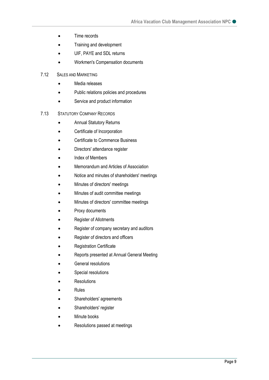- Time records
- Training and development
- UIF, PAYE and SDL returns
- Workmen's Compensation documents
- 7.12 SALES AND MARKETING
	- Media releases
	- Public relations policies and procedures
	- Service and product information
- 7.13 STATUTORY COMPANY RECORDS
	- Annual Statutory Returns
	- Certificate of Incorporation
	- Certificate to Commence Business
	- Directors' attendance register
	- Index of Members
	- Memorandum and Articles of Association
	- Notice and minutes of shareholders' meetings
	- Minutes of directors' meetings
	- Minutes of audit committee meetings
	- Minutes of directors' committee meetings
	- Proxy documents
	- Register of Allotments
	- Register of company secretary and auditors
	- Register of directors and officers
	- Registration Certificate
	- Reports presented at Annual General Meeting
	- General resolutions
	- Special resolutions
	- **Resolutions**
	- Rules
	- Shareholders' agreements
	- Shareholders' register
	- Minute books
	- Resolutions passed at meetings